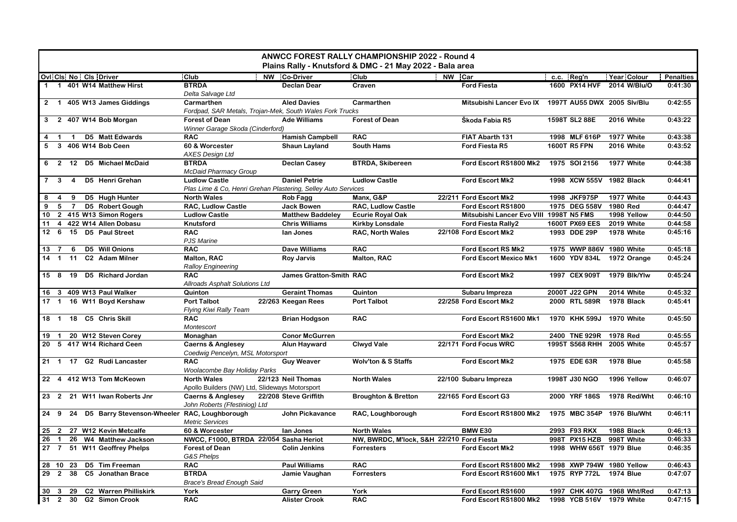| <b>ANWCC FOREST RALLY CHAMPIONSHIP 2022 - Round 4</b><br>Plains Rally - Knutsford & DMC - 21 May 2022 - Bala area |                                                                      |                                |                                           |                               |                             |                    |                  |  |
|-------------------------------------------------------------------------------------------------------------------|----------------------------------------------------------------------|--------------------------------|-------------------------------------------|-------------------------------|-----------------------------|--------------------|------------------|--|
| Ovi Cis No Cis Driver                                                                                             | Club                                                                 | <b>NW</b> Co-Driver            | Club                                      | NW Car                        | c.c. Reg'n                  | <b>Year Colour</b> | <b>Penalties</b> |  |
| 1 401 W14 Matthew Hirst<br>$\mathbf 1$                                                                            | <b>BTRDA</b><br>Delta Salvage Ltd                                    | <b>Declan Dear</b>             | Craven                                    | <b>Ford Fiesta</b>            | 1600 PX14 HVF               | 2014 W/Blu/O       | 0:41:30          |  |
| 2 1 405 W13 James Giddings                                                                                        | Carmarthen                                                           | <b>Aled Davies</b>             | Carmarthen                                | Mitsubishi Lancer Evo IX      | 1997T AU55 DWX 2005 Slv/Blu |                    | 0:42:55          |  |
|                                                                                                                   | Fordpad, SAR Metals, Trojan-Mek, South Wales Fork Trucks             |                                |                                           |                               |                             |                    |                  |  |
| 3<br>2 407 W14 Bob Morgan                                                                                         | <b>Forest of Dean</b><br>Winner Garage Skoda (Cinderford)            | <b>Ade Williams</b>            | <b>Forest of Dean</b>                     | Škoda Fabia R5                | 1598T SL2 88E               | 2016 White         | 0:43:22          |  |
| <b>D5</b> Matt Edwards<br>$\mathbf{1}$<br>$\mathbf{1}$                                                            | <b>RAC</b>                                                           | <b>Hamish Campbell</b>         | <b>RAC</b>                                | FIAT Abarth 131               | 1998 MLF 616P               | 1977 White         | 0:43:38          |  |
| 3 406 W14 Bob Ceen<br>5                                                                                           | 60 & Worcester<br><b>AXES Design Ltd</b>                             | <b>Shaun Layland</b>           | <b>South Hams</b>                         | Ford Fiesta R5                | 1600T R5 FPN                | 2016 White         | 0:43:52          |  |
| 2 12 D5 Michael McDaid<br>6                                                                                       | <b>BTRDA</b><br><b>McDaid Pharmacy Group</b>                         | <b>Declan Casey</b>            | <b>BTRDA, Skibereen</b>                   | Ford Escort RS1800 Mk2        | 1975 SOI 2156               | 1977 White         | 0:44:38          |  |
| D5 Henri Grehan<br>$\overline{7}$<br>$\mathbf{3}$<br>$\overline{4}$                                               | <b>Ludlow Castle</b>                                                 | <b>Daniel Petrie</b>           | <b>Ludlow Castle</b>                      | <b>Ford Escort Mk2</b>        | 1998 XCW 555V               | 1982 Black         | 0:44:41          |  |
|                                                                                                                   | Plas Lime & Co, Henri Grehan Plastering, Selley Auto Services        |                                |                                           |                               |                             |                    |                  |  |
| D5 Hugh Hunter<br>8<br>9<br>4                                                                                     | <b>North Wales</b>                                                   | Rob Fagg                       | Manx, G&P                                 | 22/211 Ford Escort Mk2        | 1998 JKF975P                | 1977 White         | 0:44:43          |  |
| D5 Robert Gough<br>9<br>5<br>$\overline{7}$                                                                       | <b>RAC, Ludlow Castle</b>                                            | <b>Jack Bowen</b>              | <b>RAC, Ludlow Castle</b>                 | Ford Escort RS1800            | 1975 DEG 558V               | 1980 Red           | 0:44:47          |  |
| 10<br>2 415 W13 Simon Rogers                                                                                      | <b>Ludlow Castle</b>                                                 | <b>Matthew Baddeley</b>        | <b>Ecurie Royal Oak</b>                   | Mitsubishi Lancer Evo VIII    | 1998T N5 FMS                | 1998 Yellow        | 0:44:50          |  |
| 4 422 W14 Allen Dobasu<br>11                                                                                      | Knutsford                                                            | <b>Chris Williams</b>          | <b>Kirkby Lonsdale</b>                    | Ford Fiesta Rally2            | 1600T PX69 EES              | <b>2019 White</b>  | 0:44:58          |  |
| 12 6 15 D5 Paul Street                                                                                            | <b>RAC</b><br><b>PJS Marine</b>                                      | lan Jones                      | <b>RAC, North Wales</b>                   | 22/108 Ford Escort Mk2        | 1993 DDE 29P                | 1978 White         | 0:45:16          |  |
| D5 Will Onions<br>6<br>13 7                                                                                       | <b>RAC</b>                                                           | <b>Dave Williams</b>           | <b>RAC</b>                                | Ford Escort RS Mk2            | 1975 WWP 886V 1980 White    |                    | 0:45:18          |  |
| C2 Adam Milner<br>$14 \quad 1$<br>11                                                                              | Malton, RAC<br>Ralloy Engineering                                    | <b>Roy Jarvis</b>              | Malton, RAC                               | <b>Ford Escort Mexico Mk1</b> | 1600 YDV 834L               | 1972 Orange        | 0:45:24          |  |
| 15 8 19 D5 Richard Jordan                                                                                         | <b>RAC</b><br>Allroads Asphalt Solutions Ltd                         | <b>James Gratton-Smith RAC</b> |                                           | Ford Escort Mk2               | 1997 CEX 909T               | 1979 Blk/Ylw       | 0:45:24          |  |
| 16<br>3 409 W13 Paul Walker                                                                                       | Quinton                                                              | Geraint Thomas                 | Quinton                                   | Subaru Impreza                | 2000T J22 GPN               | 2014 White         | 0:45:32          |  |
| 16 W11 Boyd Kershaw<br>$17 \quad 1$                                                                               | <b>Port Talbot</b><br>Flying Kiwi Rally Team                         | 22/263 Keegan Rees             | <b>Port Talbot</b>                        | 22/258 Ford Escort Mk2        | 2000 RTL 589R               | 1978 Black         | 0:45:41          |  |
| 18  1  18  C5  Chris Skill                                                                                        | <b>RAC</b><br>Montescort                                             | <b>Brian Hodgson</b>           | <b>RAC</b>                                | Ford Escort RS1600 Mk1        | 1970 KHK 599J               | 1970 White         | 0:45:50          |  |
| 20 W12 Steven Corey<br>19<br>$\overline{1}$                                                                       | Monaghan                                                             | <b>Conor McGurren</b>          |                                           | <b>Ford Escort Mk2</b>        | 2400 TNE 929R               | 1978 Red           | 0:45:55          |  |
| 5 417 W14 Richard Ceen<br>20                                                                                      | <b>Caerns &amp; Anglesey</b><br>Coedwig Pencelyn, MSL Motorsport     | <b>Alun Hayward</b>            | <b>Clwyd Vale</b>                         | 22/171 Ford Focus WRC         | 1995T S568 RHH              | 2005 White         | 0:45:57          |  |
| 21 1 17 G2 Rudi Lancaster                                                                                         | <b>RAC</b><br>Woolacombe Bay Holiday Parks                           | <b>Guy Weaver</b>              | <b>Wolv'ton &amp; S Staffs</b>            | <b>Ford Escort Mk2</b>        | 1975 EDE 63R                | <b>1978 Blue</b>   | 0:45:58          |  |
| 22 4 412 W13 Tom McKeown                                                                                          | <b>North Wales</b><br>Apollo Builders (NW) Ltd, Slideways Motorsport | 22/123 Neil Thomas             | <b>North Wales</b>                        | 22/100 Subaru Impreza         | 1998T J30 NGO               | 1996 Yellow        | 0:46:07          |  |
| 23 2 21 W11 Iwan Roberts Jnr                                                                                      | <b>Caerns &amp; Anglesey</b><br>John Roberts (Ffestiniog) Ltd        | 22/208 Steve Griffith          | <b>Broughton &amp; Bretton</b>            | 22/165 Ford Escort G3         | 2000 YRF 186S               | 1978 Red/Wht       | 0:46:10          |  |
| 24 9 24 D5 Barry Stevenson-Wheeler RAC, Loughborough                                                              | <b>Metric Services</b>                                               | John Pickavance                | RAC, Loughborough                         | Ford Escort RS1800 Mk2        | 1975 MBC 354P 1976 Blu/Wht  |                    | 0:46:11          |  |
| 27 W12 Kevin Metcalfe<br>25<br>$\overline{2}$                                                                     | 60 & Worcester                                                       | lan Jones                      | <b>North Wales</b>                        | <b>BMW E30</b>                | 2993 F93 RKX                | 1988 Black         | 0:46:13          |  |
| 26<br>$\overline{1}$<br>26 W4 Matthew Jackson                                                                     | NWCC, F1000, BTRDA 22/054 Sasha Heriot                               |                                | NW, BWRDC, M'lock, S&H 22/210 Ford Fiesta |                               | 998T PX15 HZB               | 998T White         | 0:46:33          |  |
| 27<br>$\overline{7}$<br>51 W11 Geoffrey Phelps                                                                    | <b>Forest of Dean</b><br>G&S Phelps                                  | <b>Colin Jenkins</b>           | <b>Forresters</b>                         | <b>Ford Escort Mk2</b>        | 1998 WHW 656T 1979 Blue     |                    | 0:46:35          |  |
| D5 Tim Freeman<br>28 10<br>23                                                                                     | <b>RAC</b>                                                           | <b>Paul Williams</b>           | <b>RAC</b>                                | Ford Escort RS1800 Mk2        | 1998 XWP 794W 1980 Yellow   |                    | 0:46:43          |  |
| C5 Jonathan Brace<br>29<br>$\overline{2}$<br>38                                                                   | <b>BTRDA</b><br><b>Brace's Bread Enough Said</b>                     | Jamie Vaughan                  | <b>Forresters</b>                         | Ford Escort RS1600 Mk1        | 1975 RYP 772L               | <b>1974 Blue</b>   | 0:47:07          |  |
| 30<br>29 C2 Warren Philliskirk<br>$\mathbf{3}$                                                                    | York                                                                 | <b>Garry Green</b>             | York                                      | Ford Escort RS1600            | 1997 CHK 407G 1968 Wht/Red  |                    | 0:47:13          |  |
| 31<br>2 30 G2 Simon Crook                                                                                         | <b>RAC</b>                                                           | <b>Alister Crook</b>           | <b>RAC</b>                                | Ford Escort RS1800 Mk2        | 1998 YCB 516V 1979 White    |                    | 0:47:15          |  |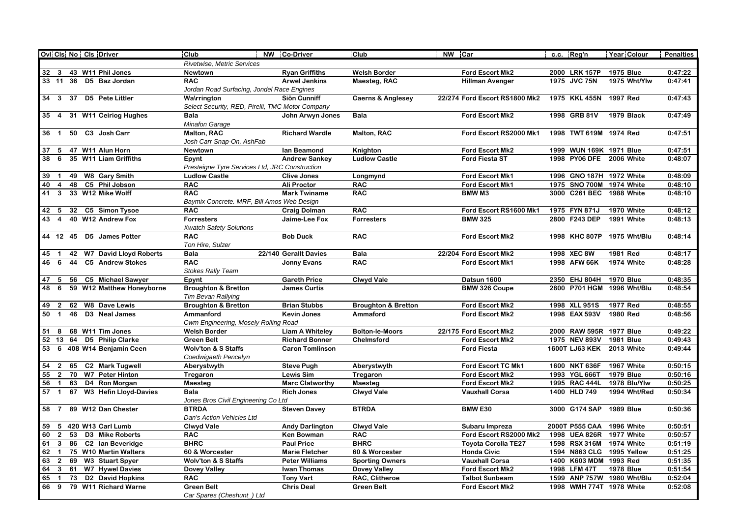| Ovi Cis No Cis Driver                                                                                        | Club                                                                   | NW Co-Driver                   | Club                           | NW Car                                | c.c. Reg'n                     | Year Colour                    | <b>Penalties</b>   |  |
|--------------------------------------------------------------------------------------------------------------|------------------------------------------------------------------------|--------------------------------|--------------------------------|---------------------------------------|--------------------------------|--------------------------------|--------------------|--|
|                                                                                                              | Rivetwise, Metric Services                                             |                                |                                |                                       |                                |                                |                    |  |
| 43 W11 Phil Jones<br>32 3                                                                                    | <b>Newtown</b>                                                         | <b>Ryan Griffiths</b>          | <b>Welsh Border</b>            | <b>Ford Escort Mk2</b>                | 2000 LRK 157P                  | <b>1975 Blue</b>               | 0:47:22            |  |
| 33 11 36 D5 Baz Jordan                                                                                       | <b>RAC</b>                                                             | <b>Arwel Jenkins</b>           | Maesteg, RAC                   | <b>Hillman Avenger</b>                | 1975 JVC 75N                   | 1975 Wht/Ylw                   | 0:47:41            |  |
|                                                                                                              | Jordan Road Surfacing, Jondel Race Engines                             |                                |                                |                                       |                                |                                |                    |  |
| 34 3 37 D5 Pete Littler                                                                                      | <b>Wa\rrington</b>                                                     | Siôn Cunniff                   | <b>Caerns &amp; Anglesey</b>   | 22/274 Ford Escort RS1800 Mk2         | 1975 KKL 455N 1997 Red         |                                | 0:47:43            |  |
|                                                                                                              | Select Security, RED, Pirelli, TMC Motor Company                       |                                |                                |                                       |                                |                                |                    |  |
| 35 4<br>31 W11 Ceiriog Hughes                                                                                | <b>Bala</b>                                                            | John Arwyn Jones               | <b>Bala</b>                    | Ford Escort Mk2                       | 1998 GRB 81V                   | 1979 Black                     | 0:47:49            |  |
|                                                                                                              | <b>Minafon Garage</b>                                                  |                                |                                |                                       |                                |                                |                    |  |
| 50<br>C3 Josh Carr<br>36 <sub>1</sub>                                                                        | Malton, RAC                                                            | <b>Richard Wardle</b>          | <b>Malton, RAC</b>             | Ford Escort RS2000 Mk1                | 1998 TWT 619M 1974 Red         |                                | 0:47:51            |  |
|                                                                                                              | Josh Carr Snap-On, AshFab                                              |                                |                                |                                       |                                |                                |                    |  |
| 47 W11 Alun Horn<br>37<br>5                                                                                  | <b>Newtown</b>                                                         | lan Beamond                    | Knighton                       | Ford Escort Mk2                       | 1999 WUN 169K 1971 Blue        |                                | 0:47:51            |  |
| 38<br>35 W11 Liam Griffiths<br>6                                                                             | Epynt                                                                  | <b>Andrew Sankey</b>           | <b>Ludlow Castle</b>           | <b>Ford Fiesta ST</b>                 | 1998 PY06 DFE                  | 2006 White                     | 0:48:07            |  |
|                                                                                                              | Presteigne Tyre Services Ltd, JRC Construction<br><b>Ludlow Castle</b> | <b>Clive Jones</b>             |                                | Ford Escort Mk1                       | 1996 GNO 187H 1972 White       |                                | 0:48:09            |  |
| 49 W8 Gary Smith<br>39<br>-1<br>48<br>C5 Phil Jobson<br>40<br>$\overline{4}$                                 | <b>RAC</b>                                                             | Ali Proctor                    | Longmynd<br><b>RAC</b>         | Ford Escort Mk1                       | 1975 SNO 700M 1974 White       |                                | 0:48:10            |  |
| 33 W12 Mike Wolff<br>41<br>$\mathbf{3}$                                                                      | <b>RAC</b>                                                             | <b>Mark Twiname</b>            | <b>RAC</b>                     | <b>BMWM3</b>                          | 3000 C261 BEC                  | 1988 White                     | 0:48:10            |  |
|                                                                                                              | Baymix Concrete. MRF, Bill Amos Web Design                             |                                |                                |                                       |                                |                                |                    |  |
| 32<br>C5 Simon Tysoe<br>42<br>-5                                                                             | <b>RAC</b>                                                             | <b>Craig Dolman</b>            | <b>RAC</b>                     | Ford Escort RS1600 Mk1                | 1975 FYN 871J                  | 1970 White                     | 0:48:12            |  |
| 43<br>40 W12 Andrew Fox<br>$\overline{4}$                                                                    | <b>Forresters</b>                                                      | Jaime-Lee Fox                  | <b>Forresters</b>              | <b>BMW 325</b>                        | 2800 F243 DEP                  | 1991 White                     | 0:48:13            |  |
|                                                                                                              | <b>Xwatch Safety Solutions</b>                                         |                                |                                |                                       |                                |                                |                    |  |
| 44 12 45 D5 James Potter                                                                                     | <b>RAC</b>                                                             | <b>Bob Duck</b>                | <b>RAC</b>                     | Ford Escort Mk2                       | 1998 KHC 807P 1975 Wht/Blu     |                                | 0:48:14            |  |
|                                                                                                              | Ton Hire, Sulzer                                                       |                                |                                |                                       |                                |                                |                    |  |
| 42 W7 David Lloyd Roberts<br>45                                                                              | <b>Bala</b>                                                            | 22/140 Gerallt Davies          | <b>Bala</b>                    | 22/204 Ford Escort Mk2                | 1998 XEC 8W                    | 1981 Red                       | 0:48:17            |  |
| 46<br>6<br>44<br><b>C5</b> Andrew Stokes                                                                     | <b>RAC</b>                                                             | <b>Jonny Evans</b>             | <b>RAC</b>                     | Ford Escort Mk1                       | 1998 AFW 66K                   | 1974 White                     | 0:48:28            |  |
|                                                                                                              | <b>Stokes Rally Team</b>                                               |                                |                                |                                       |                                |                                |                    |  |
| C5 Michael Sawyer<br>47<br>56<br>- 5                                                                         | Epynt                                                                  | <b>Gareth Price</b>            | <b>Clwyd Vale</b>              | Datsun 1600                           | 2350 EHJ 804H                  | <b>1970 Blue</b>               | 0:48:35            |  |
| 48<br>59 W12 Matthew Honeyborne<br>6                                                                         | <b>Broughton &amp; Bretton</b>                                         | <b>James Curtis</b>            |                                | <b>BMW 326 Coupe</b>                  | 2800 P701 HGM                  | 1996 Wht/Blu                   | 0:48:54            |  |
|                                                                                                              | <b>Tim Bevan Rallying</b>                                              |                                |                                |                                       |                                |                                |                    |  |
| <b>W8 Dave Lewis</b><br>62<br>49<br>$\overline{2}$                                                           | <b>Broughton &amp; Bretton</b>                                         | <b>Brian Stubbs</b>            | <b>Broughton &amp; Bretton</b> | Ford Escort Mk2                       | 1998 XLL 951S                  | 1977 Red                       | 0:48:55            |  |
| 46<br>D <sub>3</sub> Neal James<br>50<br>$\overline{1}$                                                      | Ammanford                                                              | <b>Kevin Jones</b>             | Ammaford                       | <b>Ford Escort Mk2</b>                | 1998 EAX 593V                  | 1980 Red                       | 0:48:56            |  |
|                                                                                                              | Cwm Engineering, Mosely Rolling Road                                   |                                |                                |                                       |                                |                                |                    |  |
| 68 W11 Tim Jones<br>51<br>8                                                                                  | <b>Welsh Border</b>                                                    | <b>Liam A Whiteley</b>         | <b>Bolton-le-Moors</b>         | 22/175 Ford Escort Mk2                | 2000 RAW 595R 1977 Blue        |                                | 0:49:22            |  |
| 52 13<br>64 D5 Philip Clarke                                                                                 | <b>Green Belt</b>                                                      | <b>Richard Bonner</b>          | Chelmsford                     | <b>Ford Escort Mk2</b>                | 1975 NEV 893V                  | <b>1981 Blue</b>               | 0:49:43            |  |
| 53<br>408 W14 Benjamin Ceen<br>6                                                                             | <b>Wolv'ton &amp; S Staffs</b>                                         | <b>Caron Tomlinson</b>         |                                | <b>Ford Fiesta</b>                    | <b>1600T LJ63 KEK</b>          | 2013 White                     | 0:49:44            |  |
|                                                                                                              | Coedwigaeth Pencelyn                                                   |                                |                                |                                       |                                |                                |                    |  |
| <b>C2 Mark Tugwell</b><br>54<br>$\overline{2}$<br>65<br>70<br>55<br>$\overline{2}$<br><b>W7</b> Peter Hinton | Aberystwyth                                                            | <b>Steve Pugh</b><br>Lewis Sim | Aberystwyth                    | Ford Escort TC Mk1<br>Ford Escort Mk2 | 1600 NKT 636F<br>1993 YGL 666T | 1967 White<br><b>1979 Blue</b> | 0:50:15<br>0:50:16 |  |
| 56<br>63<br>D4 Ron Morgan<br>$\mathbf 1$                                                                     | Tregaron<br>Maesteg                                                    | <b>Marc Clatworthy</b>         | Tregaron<br>Maesteg            | Ford Escort Mk2                       | 1995 RAC 444L                  | 1978 Blu/Ylw                   | 0:50:25            |  |
| <b>W3 Hefin Lloyd-Davies</b><br>57 <sub>1</sub><br>67                                                        | <b>Bala</b>                                                            | <b>Rich Jones</b>              | <b>Clwyd Vale</b>              | <b>Vauxhall Corsa</b>                 | 1400 HLD 749                   | 1994 Wht/Red                   | 0:50:34            |  |
|                                                                                                              | Jones Bros Civil Engineering Co Ltd                                    |                                |                                |                                       |                                |                                |                    |  |
| 89 W12 Dan Chester<br>58<br>7                                                                                | <b>BTRDA</b>                                                           | <b>Steven Davey</b>            | <b>BTRDA</b>                   | <b>BMW E30</b>                        | 3000 G174 SAP                  | <b>1989 Blue</b>               | 0:50:36            |  |
|                                                                                                              | Dan's Action Vehicles Ltd                                              |                                |                                |                                       |                                |                                |                    |  |
| 420 W13 Carl Lumb<br>59<br>5                                                                                 | <b>Clwyd Vale</b>                                                      | <b>Andy Darlington</b>         | <b>Clwyd Vale</b>              | Subaru Impreza                        | 2000T P555 CAA                 | 1996 White                     | 0:50:51            |  |
| 60<br>$\overline{2}$<br>53 D3 Mike Roberts                                                                   | <b>RAC</b>                                                             | <b>Ken Bowman</b>              | <b>RAC</b>                     | Ford Escort RS2000 Mk2                | 1998 UEA 826R 1977 White       |                                | 0:50:57            |  |
| 86 C2 Ian Beveridge<br>61<br>$\mathbf{3}$                                                                    | <b>BHRC</b>                                                            | <b>Paul Price</b>              | <b>BHRC</b>                    | <b>Toyota Corolla TE27</b>            | 1598 RSX 316M                  | 1974 White                     | 0:51:19            |  |
| 75 W10 Martin Walters<br>62<br>$\overline{1}$                                                                | 60 & Worcester                                                         | <b>Marie Fletcher</b>          | 60 & Worcester                 | <b>Honda Civic</b>                    | 1594 N863 CLG 1995 Yellow      |                                | 0:51:25            |  |
| 63<br>$\overline{2}$<br>69 W3 Stuart Spyer                                                                   | <b>Wolv'ton &amp; S Staffs</b>                                         | <b>Peter Williams</b>          | <b>Sporting Owners</b>         | <b>Vauxhall Corsa</b>                 | 1400 K603 MDM 1993 Red         |                                | 0:51:35            |  |
| 61 W7 Hywel Davies<br>64<br>$\overline{\mathbf{3}}$                                                          | <b>Dovey Valley</b>                                                    | <b>Iwan Thomas</b>             | <b>Dovey Valley</b>            | Ford Escort Mk2                       | 1998 LFM 47T                   | <b>1978 Blue</b>               | 0:51:54            |  |
| 73<br>D <sub>2</sub> David Hopkins<br>65                                                                     | <b>RAC</b>                                                             | <b>Tony Vart</b>               | RAC, Clitheroe                 | <b>Talbot Sunbeam</b>                 | 1599 ANP 757W 1980 Wht/Blu     |                                | 0:52:04            |  |
| 79 W11 Richard Warne<br>66<br>9                                                                              | <b>Green Belt</b>                                                      | <b>Chris Deal</b>              | <b>Green Belt</b>              | <b>Ford Escort Mk2</b>                | 1998 WMH 774T 1978 White       |                                | 0:52:08            |  |
|                                                                                                              | Car Spares (Cheshunt_) Ltd                                             |                                |                                |                                       |                                |                                |                    |  |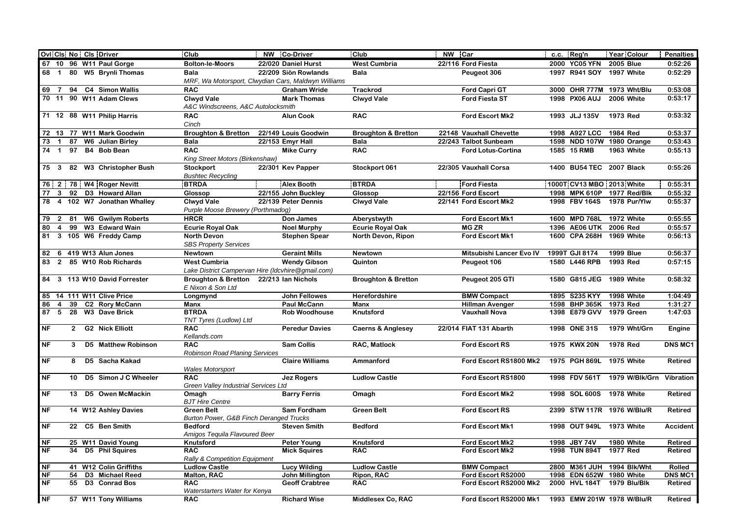|           |                |                 | Ovi Cis No Cis Driver        | Club                                                  | NW Co-Driver           | Club                           | NW Car                    |  | c.c. Reg'n     | Year Colour                | <b>Penalties</b> |
|-----------|----------------|-----------------|------------------------------|-------------------------------------------------------|------------------------|--------------------------------|---------------------------|--|----------------|----------------------------|------------------|
|           |                |                 | 67 10 96 W11 Paul Gorge      | <b>Bolton-le-Moors</b>                                | 22/020 Daniel Hurst    | <b>West Cumbria</b>            | 22/116 Ford Fiesta        |  | 2000 YC05 YFN  | <b>2005 Blue</b>           | 0:52:26          |
| 68        | $\overline{1}$ |                 | 80 W5 Brynli Thomas          | <b>Bala</b>                                           | 22/209 Siôn Rowlands   | Bala                           | Peugeot 306               |  | 1997 R941 SOY  | 1997 White                 | 0:52:29          |
|           |                |                 |                              | MRF, Wa Motorsport, Clwydian Cars, Maldwyn Williams   |                        |                                |                           |  |                |                            |                  |
| 69        | - 7            | 94              | C4 Simon Wallis              | <b>RAC</b>                                            | <b>Graham Wride</b>    | <b>Trackrod</b>                | <b>Ford Capri GT</b>      |  |                | 3000 OHR 777M 1973 Wht/Blu | 0:53:08          |
|           |                |                 | 70 11 90 W11 Adam Clews      | <b>Clwyd Vale</b>                                     | <b>Mark Thomas</b>     | <b>Clwyd Vale</b>              | <b>Ford Fiesta ST</b>     |  | 1998 PX06 AUJ  | 2006 White                 | 0:53:17          |
|           |                |                 |                              | A&C Windscreens, A&C Autolocksmith                    |                        |                                |                           |  |                |                            |                  |
|           |                |                 | 71 12 88 W11 Philip Harris   | <b>RAC</b>                                            | <b>Alun Cook</b>       | <b>RAC</b>                     | Ford Escort Mk2           |  | 1993 JLJ 135V  | 1973 Red                   | 0:53:32          |
|           |                |                 |                              | Cinch                                                 |                        |                                |                           |  |                |                            |                  |
|           |                |                 | 72 13 77 W11 Mark Goodwin    | <b>Broughton &amp; Bretton</b>                        | 22/149 Louis Goodwin   | <b>Broughton &amp; Bretton</b> | 22148 Vauxhall Chevette   |  | 1998 A927 LCC  | 1984 Red                   | 0:53:37          |
| 73        | $\overline{1}$ | 87              | <b>W6</b> Julian Birley      | Bala                                                  | 22/153 Emyr Hall       | <b>Bala</b>                    | 22/243 Talbot Sunbeam     |  |                | 1598 NDD 107W 1980 Orange  | 0:53:43          |
| 74        | $\overline{1}$ | 97              | B4 Bob Bean                  | <b>RAC</b>                                            | <b>Mike Curry</b>      | <b>RAC</b>                     | <b>Ford Lotus-Cortina</b> |  | 1585 15 RMB    | 1963 White                 | 0:55:13          |
|           |                |                 |                              | King Street Motors (Birkenshaw)                       |                        |                                |                           |  |                |                            |                  |
| 75 3      |                |                 | 82 W3 Christopher Bush       | <b>Stockport</b>                                      | 22/301 Kev Papper      | Stockport 061                  | 22/305 Vauxhall Corsa     |  |                | 1400 BU54 TEC 2007 Black   | 0:55:26          |
|           |                |                 |                              | <b>Bushtec Recycling</b>                              |                        |                                |                           |  |                |                            |                  |
|           |                |                 | 76 2 78 W4 Roger Nevitt      | <b>BTRDA</b>                                          | <b>Alex Booth</b>      | <b>BTRDA</b>                   | <b>Ford Fiesta</b>        |  |                | 1000T CV13 MBO 2013 White  | 0:55:31          |
| 77        | $\mathbf{3}$   |                 | 92 D3 Howard Allan           | Glossop                                               | 22/155 John Buckley    | Glossop                        | 22/156 Ford Escort        |  |                | 1998 MPK 610P 1977 Red/Blk | 0:55:32          |
| 78        |                |                 | 4 102 W7 Jonathan Whalley    | <b>Clwyd Vale</b>                                     | 22/139 Peter Dennis    | <b>Clwyd Vale</b>              | 22/141 Ford Escort Mk2    |  | 1998 FBV 164S  | 1978 Pur/Ylw               | 0:55:37          |
|           |                |                 |                              | Purple Moose Brewery (Porthmadog)                     |                        |                                |                           |  |                |                            |                  |
| 79 2      |                | 81              | W6 Gwilym Roberts            | <b>HRCR</b>                                           | Don James              | Aberystwyth                    | Ford Escort Mk1           |  | 1600 MPD 768L  | 1972 White                 | 0:55:55          |
| 80        | $\overline{4}$ | 99              | W3 Edward Wain               | <b>Ecurie Royal Oak</b>                               | <b>Noel Murphy</b>     | <b>Ecurie Royal Oak</b>        | <b>MG ZR</b>              |  | 1396 AE06 UTK  | 2006 Red                   | 0:55:57          |
| 81        |                |                 | 3 105 W6 Freddy Camp         | <b>North Devon</b>                                    | <b>Stephen Spear</b>   | North Devon, Ripon             | Ford Escort Mk1           |  | 1600 CPA 268H  | 1969 White                 | 0:56:13          |
|           |                |                 |                              | <b>SBS Property Services</b>                          |                        |                                |                           |  |                |                            |                  |
|           |                |                 | 82 6 419 W13 Alun Jones      | <b>Newtown</b>                                        | <b>Geraint Mills</b>   | Newtown                        | Mitsubishi Lancer Evo IV  |  | 1999T GJI 8174 | <b>1999 Blue</b>           | 0:56:37          |
| 83        |                |                 | 2 85 W10 Rob Richards        | <b>West Cumbria</b>                                   | <b>Wendy Gibson</b>    | Quinton                        | Peugeot 106               |  | 1580 L446 RPB  | 1993 Red                   | 0:57:15          |
|           |                |                 |                              | Lake District Campervan Hire (Idcvhire@gmail.com)     |                        |                                |                           |  |                |                            |                  |
|           |                |                 | 84 3 113 W10 David Forrester | Broughton & Bretton 22/213 Ian Nichols                |                        | <b>Broughton &amp; Bretton</b> | Peugeot 205 GTI           |  | 1580 G815 JEG  | 1989 White                 | 0:58:32          |
|           |                |                 |                              | E Nixon & Son Ltd                                     |                        |                                |                           |  |                |                            |                  |
|           |                |                 | 85 14 111 W11 Clive Price    | Longmynd                                              | <b>John Fellowes</b>   | Herefordshire                  | <b>BMW Compact</b>        |  | 1895 S235 KYY  | 1998 White                 | 1:04:49          |
| 86        | $\overline{4}$ | 39              | C2 Rory McCann               | Manx                                                  | <b>Paul McCann</b>     | Manx                           | <b>Hillman Avenger</b>    |  | 1598 BHP 365K  | 1973 Red                   | 1:31:27          |
| 87        | 5              | 28              | <b>W3 Dave Brick</b>         | <b>BTRDA</b>                                          | <b>Rob Woodhouse</b>   | Knutsford                      | <b>Vauxhall Nova</b>      |  | 1398 E879 GVV  | 1979 Green                 | 1:47:03          |
| <b>NF</b> |                | $2^{\circ}$     | <b>G2</b> Nick Elliott       | TNT Tyres (Ludlow) Ltd<br><b>RAC</b>                  | <b>Peredur Davies</b>  | <b>Caerns &amp; Anglesey</b>   | 22/014 FIAT 131 Abarth    |  | 1998 ONE 31S   | 1979 Wht/Grn               |                  |
|           |                |                 |                              | Kellands.com                                          |                        |                                |                           |  |                |                            | Engine           |
| <b>NF</b> |                | 3               | D5 Matthew Robinson          | <b>RAC</b>                                            | <b>Sam Collis</b>      | <b>RAC, Matlock</b>            | <b>Ford Escort RS</b>     |  | 1975 KWX 20N   | 1978 Red                   | <b>DNS MC1</b>   |
|           |                |                 |                              | Robinson Road Planing Services                        |                        |                                |                           |  |                |                            |                  |
| <b>NF</b> |                | 8               | D5 Sacha Kakad               |                                                       | <b>Claire Williams</b> | Ammanford                      | Ford Escort RS1800 Mk2    |  |                | 1975 PGH 869L 1975 White   | Retired          |
|           |                |                 |                              | <b>Wales Motorsport</b>                               |                        |                                |                           |  |                |                            |                  |
| <b>NF</b> |                | 10 <sup>1</sup> | D5 Simon J C Wheeler         | <b>RAC</b>                                            | <b>Jez Rogers</b>      | <b>Ludlow Castle</b>           | Ford Escort RS1800        |  | 1998 FDV 561T  | 1979 W/Blk/Grn             | Vibration        |
|           |                |                 |                              | Green Valley Industrial Services Ltd                  |                        |                                |                           |  |                |                            |                  |
| <b>NF</b> |                | 13              | D5 Owen McMackin             | Omagh                                                 | <b>Barry Ferris</b>    | Omagh                          | Ford Escort Mk2           |  | 1998 SOL 600S  | 1978 White                 | <b>Retired</b>   |
|           |                |                 |                              | <b>BJT Hire Centre</b>                                |                        |                                |                           |  |                |                            |                  |
| NF        |                |                 | 14 W12 Ashley Davies         | <b>Green Belt</b>                                     | Sam Fordham            | <b>Green Belt</b>              | <b>Ford Escort RS</b>     |  |                | 2399 STW 117R 1976 W/Blu/R | <b>Retired</b>   |
|           |                |                 |                              | Burton Power, G&B Finch Deranged Trucks               |                        |                                |                           |  |                |                            |                  |
| NF        |                |                 | 22 C5 Ben Smith              | <b>Bedford</b>                                        | <b>Steven Smith</b>    | <b>Bedford</b>                 | Ford Escort Mk1           |  |                | 1998 OUT 949L 1973 White   | Accident         |
|           |                |                 |                              | Amigos Tequila Flavoured Beer                         |                        |                                |                           |  |                |                            |                  |
| NF        |                |                 | 25 W11 David Young           | Knutsford                                             | <b>Peter Young</b>     | Knutsford                      | Ford Escort Mk2           |  | 1998 JBY 74V   | 1980 White                 | Retired          |
| NF        |                |                 | 34 D5 Phil Squires           | <b>RAC</b>                                            | <b>Mick Squires</b>    | <b>RAC</b>                     | <b>Ford Escort Mk2</b>    |  | 1998 TUN 894T  | 1977 Red                   | <b>Retired</b>   |
| NF        |                |                 | 41 W12 Colin Griffiths       | Rally & Competition Equipment<br><b>Ludlow Castle</b> | <b>Lucy Wilding</b>    | <b>Ludlow Castle</b>           | <b>BMW Compact</b>        |  |                | 2800 M361 JUH 1994 Blk/Wht | Rolled           |
| NF        |                | 54              | D3 Michael Reed              | <b>Malton, RAC</b>                                    | <b>John Millington</b> | Ripon, RAC                     | Ford Escort RS2000        |  | 1998 EDN 652W  | 1980 White                 | <b>DNS MC1</b>   |
| <b>NF</b> |                | 55              | D3 Conrad Bos                | <b>RAC</b>                                            | <b>Geoff Crabtree</b>  | <b>RAC</b>                     | Ford Escort RS2000 Mk2    |  | 2000 HVL 184T  | 1979 Blu/Blk               | Retired          |
|           |                |                 |                              | Waterstarters Water for Kenya                         |                        |                                |                           |  |                |                            |                  |
| <b>NF</b> |                |                 | 57 W11 Tony Williams         | <b>RAC</b>                                            | <b>Richard Wise</b>    | Middlesex Co, RAC              | Ford Escort RS2000 Mk1    |  |                | 1993 EMW 201W 1978 W/Blu/R | Retired          |